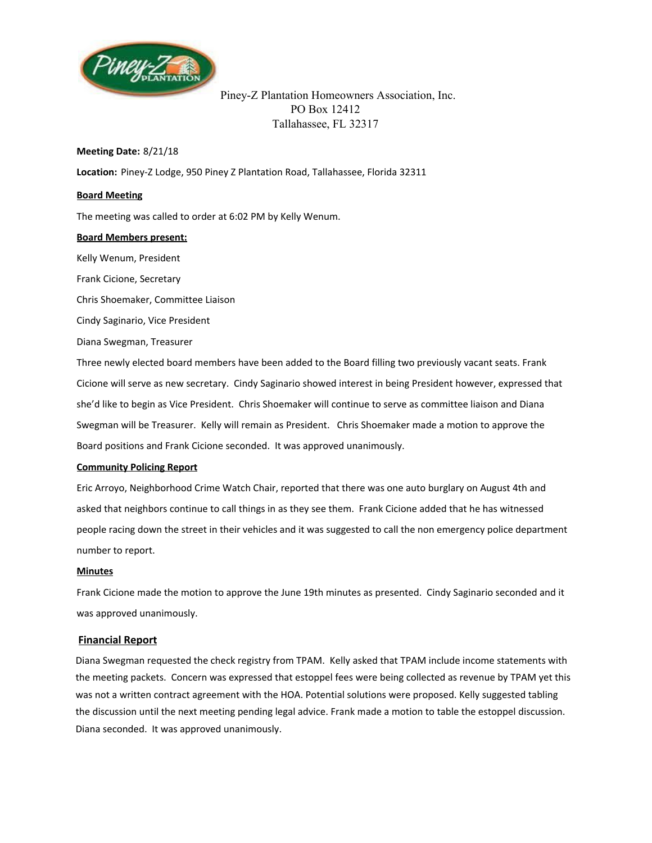

Piney-Z Plantation Homeowners Association, Inc. PO Box 12412 Tallahassee, FL 32317

### **Meeting Date:**  8/21/18

**Location:** Piney-Z Lodge, 950 Piney Z Plantation Road, Tallahassee, Florida 32311

#### **Board Meeting**

The meeting was called to order at 6:02 PM by Kelly Wenum.

#### **Board Members present:**

Kelly Wenum, President Frank Cicione, Secretary Chris Shoemaker, Committee Liaison

Cindy Saginario, Vice President

Diana Swegman, Treasurer

Three newly elected board members have been added to the Board filling two previously vacant seats. Frank Cicione will serve as new secretary. Cindy Saginario showed interest in being President however, expressed that she'd like to begin as Vice President. Chris Shoemaker will continue to serve as committee liaison and Diana Swegman will be Treasurer. Kelly will remain as President. Chris Shoemaker made a motion to approve the Board positions and Frank Cicione seconded. It was approved unanimously.

### **Community Policing Report**

Eric Arroyo, Neighborhood Crime Watch Chair, reported that there was one auto burglary on August 4th and asked that neighbors continue to call things in as they see them. Frank Cicione added that he has witnessed people racing down the street in their vehicles and it was suggested to call the non emergency police department number to report.

#### **Minutes**

Frank Cicione made the motion to approve the June 19th minutes as presented. Cindy Saginario seconded and it was approved unanimously.

### **Financial Report**

Diana Swegman requested the check registry from TPAM. Kelly asked that TPAM include income statements with the meeting packets. Concern was expressed that estoppel fees were being collected as revenue by TPAM yet this was not a written contract agreement with the HOA. Potential solutions were proposed. Kelly suggested tabling the discussion until the next meeting pending legal advice. Frank made a motion to table the estoppel discussion. Diana seconded. It was approved unanimously.